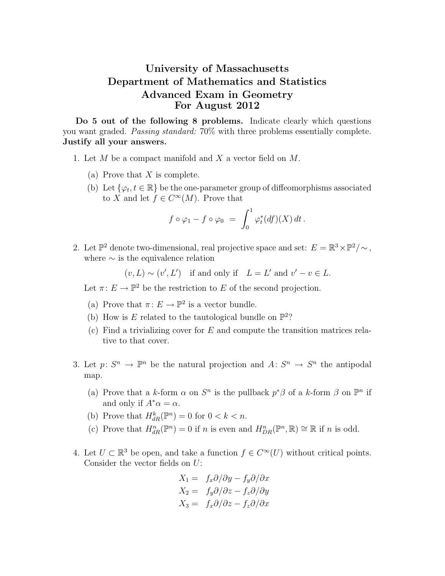## University of Massachusetts Department of Mathematics and Statistics Advanced Exam in Geometry For August 2012

Do 5 out of the following 8 problems. Indicate clearly which questions you want graded. Passing standard: 70% with three problems essentially complete. Justify all your answers.

- 1. Let M be a compact manifold and X a vector field on M.
	- (a) Prove that  $X$  is complete.
	- (b) Let  $\{\varphi_t, t \in \mathbb{R}\}\)$  be the one-parameter group of diffeomorphisms associated to X and let  $f \in C^{\infty}(M)$ . Prove that

$$
f\circ\varphi_1-f\circ\varphi_0\;=\;\int_0^1\varphi_t^*(df)(X)\,dt\,.
$$

2. Let  $\mathbb{P}^2$  denote two-dimensional, real projective space and set:  $E = \mathbb{R}^3 \times \mathbb{P}^2 / \sim$ , where  $\sim$  is the equivalence relation

 $(v, L) \sim (v', L')$  if and only if  $L = L'$  and  $v' - v \in L$ .

Let  $\pi: E \to \mathbb{P}^2$  be the restriction to E of the second projection.

- (a) Prove that  $\pi: E \to \mathbb{P}^2$  is a vector bundle.
- (b) How is E related to the tautological bundle on  $\mathbb{P}^2$ ?
- (c) Find a trivializing cover for  $E$  and compute the transition matrices relative to that cover.
- 3. Let  $p: S^n \to \mathbb{P}^n$  be the natural projection and  $A: S^n \to S^n$  the antipodal map.
	- (a) Prove that a k-form  $\alpha$  on  $S^n$  is the pullback  $p^*\beta$  of a k-form  $\beta$  on  $\mathbb{P}^n$  if and only if  $A^*\alpha = \alpha$ .
	- (b) Prove that  $H_{dR}^k(\mathbb{P}^n) = 0$  for  $0 < k < n$ .
	- (c) Prove that  $H_{dR}^n(\mathbb{P}^n) = 0$  if n is even and  $H_{DR}^n(\mathbb{P}^n, \mathbb{R}) \cong \mathbb{R}$  if n is odd.
- 4. Let  $U \subset \mathbb{R}^3$  be open, and take a function  $f \in C^\infty(U)$  without critical points. Consider the vector fields on U:

$$
X_1 = f_x \partial/\partial y - f_y \partial/\partial x
$$
  
\n
$$
X_2 = f_y \partial/\partial z - f_z \partial/\partial y
$$
  
\n
$$
X_3 = f_x \partial/\partial z - f_z \partial/\partial x
$$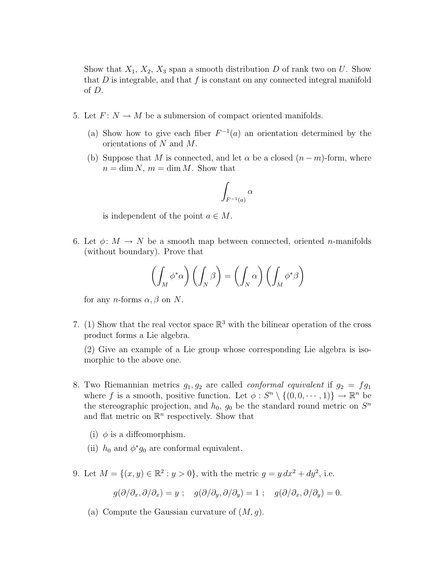Show that  $X_1, X_2, X_3$  span a smooth distribution D of rank two on U. Show that  $D$  is integrable, and that  $f$  is constant on any connected integral manifold of D.

- 5. Let  $F: N \to M$  be a submersion of compact oriented manifolds.
	- (a) Show how to give each fiber  $F^{-1}(a)$  an orientation determined by the orientations of N and M.
	- (b) Suppose that M is connected, and let  $\alpha$  be a closed  $(n-m)$ -form, where  $n = \dim N$ ,  $m = \dim M$ . Show that

$$
\int_{F^{-1}(a)} \alpha
$$

is independent of the point  $a \in M$ .

6. Let  $\phi: M \to N$  be a smooth map between connected, oriented *n*-manifolds (without boundary). Prove that

$$
\left(\int_M \phi^* \alpha\right) \left(\int_N \beta\right) = \left(\int_N \alpha\right) \left(\int_M \phi^* \beta\right)
$$

for any *n*-forms  $\alpha$ ,  $\beta$  on N.

7. (1) Show that the real vector space  $\mathbb{R}^3$  with the bilinear operation of the cross product forms a Lie algebra.

(2) Give an example of a Lie group whose corresponding Lie algebra is isomorphic to the above one.

- 8. Two Riemannian metrics  $g_1, g_2$  are called *conformal equivalent* if  $g_2 = fg_1$ where f is a smooth, positive function. Let  $\phi: S^n \setminus \{(0, 0, \dots, 1)\} \to \mathbb{R}^n$  be the stereographic projection, and  $h_0$ ,  $g_0$  be the standard round metric on  $S<sup>n</sup>$ and flat metric on  $\mathbb{R}^n$  respectively. Show that
	- (i)  $\phi$  is a diffeomorphism.
	- (ii)  $h_0$  and  $\phi^*g_0$  are conformal equivalent.
- 9. Let  $M = \{(x, y) \in \mathbb{R}^2 : y > 0\}$ , with the metric  $g = y dx^2 + dy^2$ , i.e.

$$
g(\partial/\partial_x, \partial/\partial_x) = y \; ; \quad g(\partial/\partial_y, \partial/\partial_y) = 1 \; ; \quad g(\partial/\partial_x, \partial/\partial_y) = 0.
$$

(a) Compute the Gaussian curvature of  $(M, g)$ .